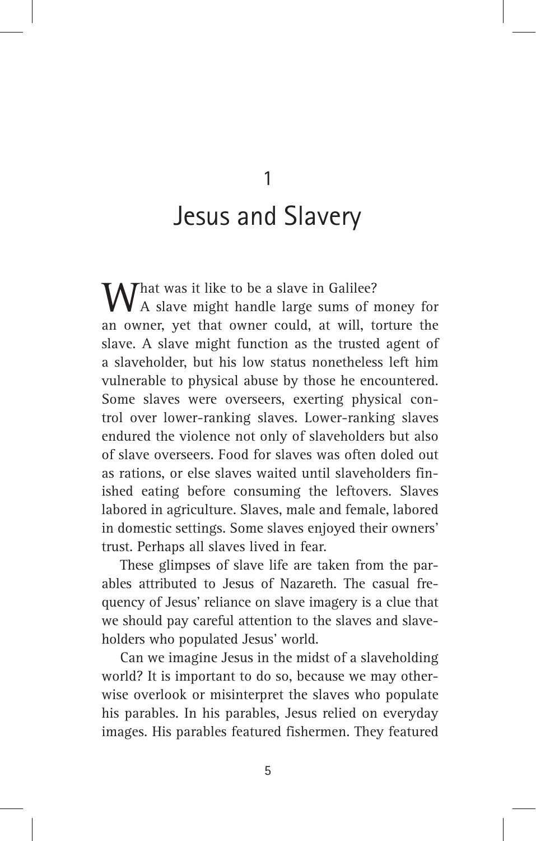1

# Jesus and Slavery

What was it like to be a slave in Galilee?<br>WA slave might handle large sums of money for an owner, yet that owner could, at will, torture the slave. A slave might function as the trusted agent of a slaveholder, but his low status nonetheless left him vulnerable to physical abuse by those he encountered. Some slaves were overseers, exerting physical control over lower-ranking slaves. Lower-ranking slaves endured the violence not only of slaveholders but also of slave overseers. Food for slaves was often doled out as rations, or else slaves waited until slaveholders finished eating before consuming the leftovers. Slaves labored in agriculture. Slaves, male and female, labored in domestic settings. Some slaves enjoyed their owners' trust. Perhaps all slaves lived in fear.

These glimpses of slave life are taken from the parables attributed to Jesus of Nazareth. The casual frequency of Jesus' reliance on slave imagery is a clue that we should pay careful attention to the slaves and slaveholders who populated Jesus' world.

Can we imagine Jesus in the midst of a slaveholding world? It is important to do so, because we may otherwise overlook or misinterpret the slaves who populate his parables. In his parables, Jesus relied on everyday images. His parables featured fishermen. They featured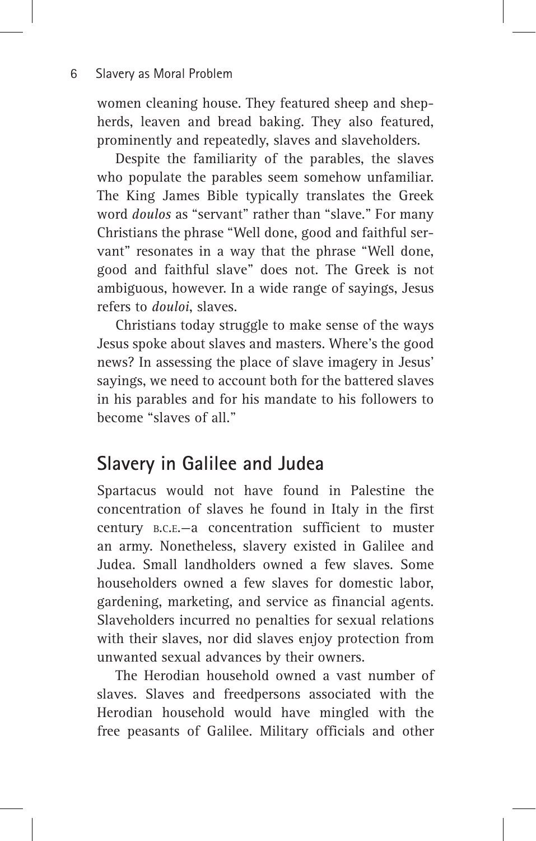women cleaning house. They featured sheep and shepherds, leaven and bread baking. They also featured, prominently and repeatedly, slaves and slaveholders.

Despite the familiarity of the parables, the slaves who populate the parables seem somehow unfamiliar. The King James Bible typically translates the Greek word *doulos* as "servant" rather than "slave." For many Christians the phrase "Well done, good and faithful servant" resonates in a way that the phrase "Well done, good and faithful slave" does not. The Greek is not ambiguous, however. In a wide range of sayings, Jesus refers to *douloi*, slaves.

Christians today struggle to make sense of the ways Jesus spoke about slaves and masters. Where's the good news? In assessing the place of slave imagery in Jesus' sayings, we need to account both for the battered slaves in his parables and for his mandate to his followers to become "slaves of all."

## **Slavery in Galilee and Judea**

Spartacus would not have found in Palestine the concentration of slaves he found in Italy in the first century B.C.E.-a concentration sufficient to muster an army. Nonetheless, slavery existed in Galilee and Judea. Small landholders owned a few slaves. Some householders owned a few slaves for domestic labor, gardening, marketing, and service as financial agents. Slaveholders incurred no penalties for sexual relations with their slaves, nor did slaves enjoy protection from unwanted sexual advances by their owners.

The Herodian household owned a vast number of slaves. Slaves and freedpersons associated with the Herodian household would have mingled with the free peasants of Galilee. Military officials and other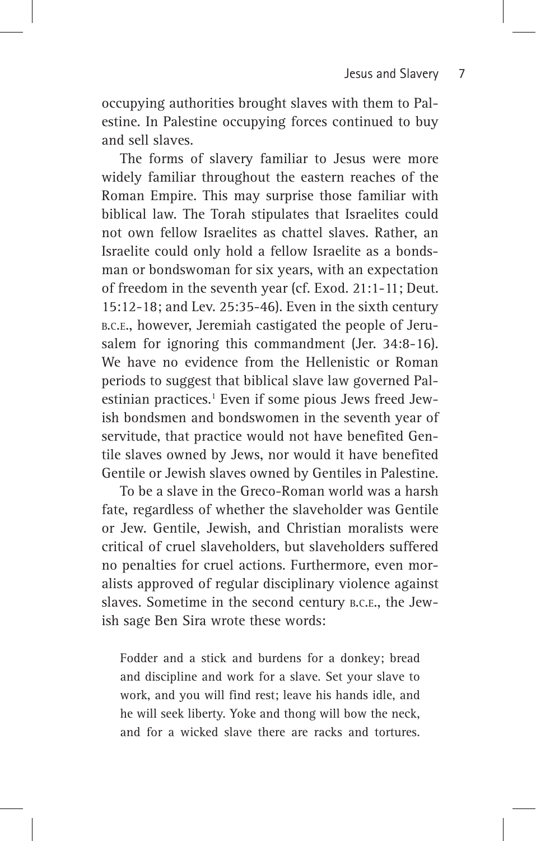occupying authorities brought slaves with them to Palestine. In Palestine occupying forces continued to buy and sell slaves.

The forms of slavery familiar to Jesus were more widely familiar throughout the eastern reaches of the Roman Empire. This may surprise those familiar with biblical law. The Torah stipulates that Israelites could not own fellow Israelites as chattel slaves. Rather, an Israelite could only hold a fellow Israelite as a bondsman or bondswoman for six years, with an expectation of freedom in the seventh year (cf. Exod. 21:1-11; Deut. 15:12-18; and Lev. 25:35-46). Even in the sixth century b.c.e., however, Jeremiah castigated the people of Jerusalem for ignoring this commandment (Jer. 34:8-16). We have no evidence from the Hellenistic or Roman periods to suggest that biblical slave law governed Palestinian practices.<sup>1</sup> Even if some pious Jews freed Jewish bondsmen and bondswomen in the seventh year of servitude, that practice would not have benefited Gentile slaves owned by Jews, nor would it have benefited Gentile or Jewish slaves owned by Gentiles in Palestine.

To be a slave in the Greco-Roman world was a harsh fate, regardless of whether the slaveholder was Gentile or Jew. Gentile, Jewish, and Christian moralists were critical of cruel slaveholders, but slaveholders suffered no penalties for cruel actions. Furthermore, even moralists approved of regular disciplinary violence against slaves. Sometime in the second century b.c.e., the Jewish sage Ben Sira wrote these words:

Fodder and a stick and burdens for a donkey; bread and discipline and work for a slave. Set your slave to work, and you will find rest; leave his hands idle, and he will seek liberty. Yoke and thong will bow the neck, and for a wicked slave there are racks and tortures.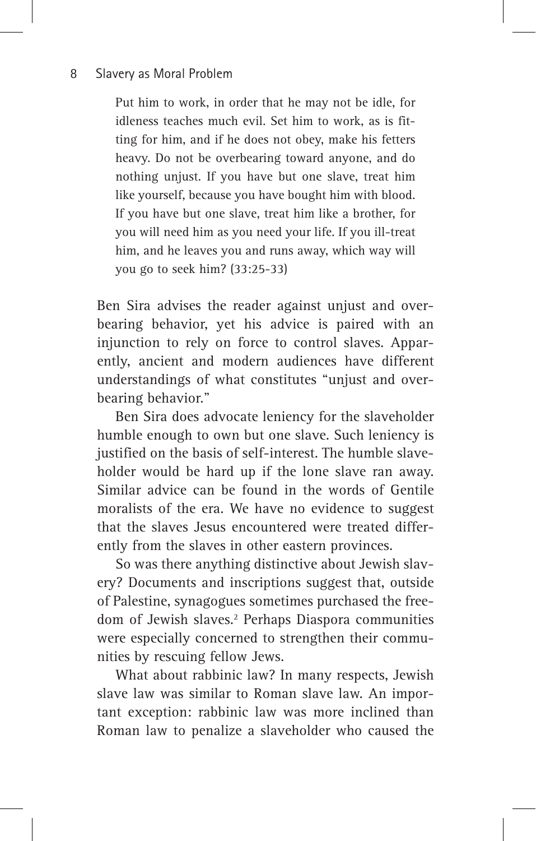Put him to work, in order that he may not be idle, for idleness teaches much evil. Set him to work, as is fitting for him, and if he does not obey, make his fetters heavy. Do not be overbearing toward anyone, and do nothing unjust. If you have but one slave, treat him like yourself, because you have bought him with blood. If you have but one slave, treat him like a brother, for you will need him as you need your life. If you ill-treat him, and he leaves you and runs away, which way will you go to seek him? (33:25-33)

Ben Sira advises the reader against unjust and overbearing behavior, yet his advice is paired with an injunction to rely on force to control slaves. Apparently, ancient and modern audiences have different understandings of what constitutes "unjust and overbearing behavior."

Ben Sira does advocate leniency for the slaveholder humble enough to own but one slave. Such leniency is justified on the basis of self-interest. The humble slaveholder would be hard up if the lone slave ran away. Similar advice can be found in the words of Gentile moralists of the era. We have no evidence to suggest that the slaves Jesus encountered were treated differently from the slaves in other eastern provinces.

So was there anything distinctive about Jewish slavery? Documents and inscriptions suggest that, outside of Palestine, synagogues sometimes purchased the freedom of Jewish slaves.<sup>2</sup> Perhaps Diaspora communities were especially concerned to strengthen their communities by rescuing fellow Jews.

What about rabbinic law? In many respects, Jewish slave law was similar to Roman slave law. An important exception: rabbinic law was more inclined than Roman law to penalize a slaveholder who caused the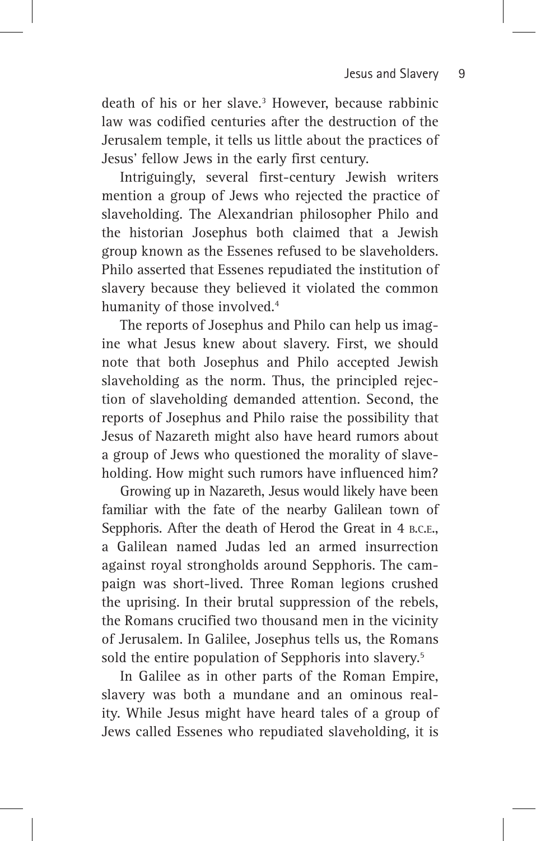death of his or her slave.<sup>3</sup> However, because rabbinic law was codified centuries after the destruction of the Jerusalem temple, it tells us little about the practices of Jesus' fellow Jews in the early first century.

Intriguingly, several first-century Jewish writers mention a group of Jews who rejected the practice of slaveholding. The Alexandrian philosopher Philo and the historian Josephus both claimed that a Jewish group known as the Essenes refused to be slaveholders. Philo asserted that Essenes repudiated the institution of slavery because they believed it violated the common humanity of those involved.<sup>4</sup>

The reports of Josephus and Philo can help us imagine what Jesus knew about slavery. First, we should note that both Josephus and Philo accepted Jewish slaveholding as the norm. Thus, the principled rejection of slaveholding demanded attention. Second, the reports of Josephus and Philo raise the possibility that Jesus of Nazareth might also have heard rumors about a group of Jews who questioned the morality of slaveholding. How might such rumors have influenced him?

Growing up in Nazareth, Jesus would likely have been familiar with the fate of the nearby Galilean town of Sepphoris. After the death of Herod the Great in 4 b.c.e., a Galilean named Judas led an armed insurrection against royal strongholds around Sepphoris. The campaign was short-lived. Three Roman legions crushed the uprising. In their brutal suppression of the rebels, the Romans crucified two thousand men in the vicinity of Jerusalem. In Galilee, Josephus tells us, the Romans sold the entire population of Sepphoris into slavery.<sup>5</sup>

In Galilee as in other parts of the Roman Empire, slavery was both a mundane and an ominous reality. While Jesus might have heard tales of a group of Jews called Essenes who repudiated slaveholding, it is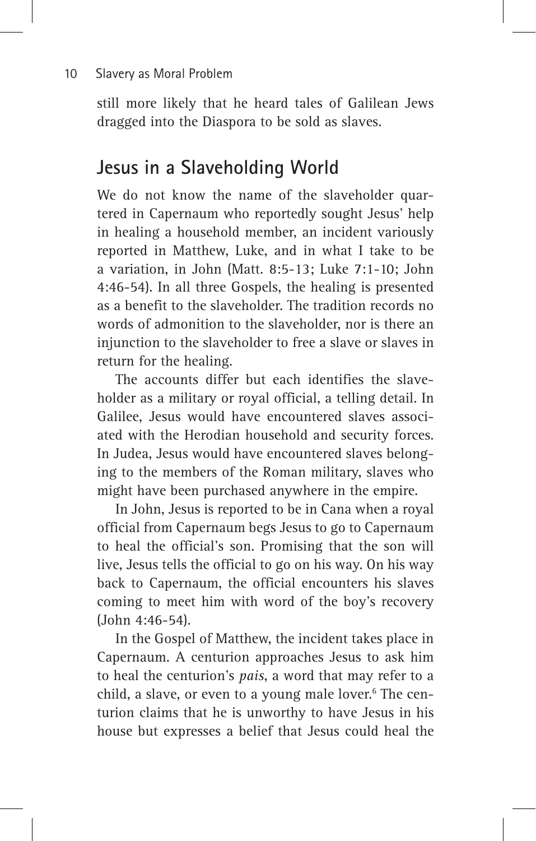still more likely that he heard tales of Galilean Jews dragged into the Diaspora to be sold as slaves.

## **Jesus in a Slaveholding World**

We do not know the name of the slaveholder quartered in Capernaum who reportedly sought Jesus' help in healing a household member, an incident variously reported in Matthew, Luke, and in what I take to be a variation, in John (Matt. 8:5-13; Luke 7:1-10; John 4:46-54). In all three Gospels, the healing is presented as a benefit to the slaveholder. The tradition records no words of admonition to the slaveholder, nor is there an injunction to the slaveholder to free a slave or slaves in return for the healing.

The accounts differ but each identifies the slaveholder as a military or royal official, a telling detail. In Galilee, Jesus would have encountered slaves associated with the Herodian household and security forces. In Judea, Jesus would have encountered slaves belonging to the members of the Roman military, slaves who might have been purchased anywhere in the empire.

In John, Jesus is reported to be in Cana when a royal official from Capernaum begs Jesus to go to Capernaum to heal the official's son. Promising that the son will live, Jesus tells the official to go on his way. On his way back to Capernaum, the official encounters his slaves coming to meet him with word of the boy's recovery (John 4:46-54).

In the Gospel of Matthew, the incident takes place in Capernaum. A centurion approaches Jesus to ask him to heal the centurion's *pais*, a word that may refer to a child, a slave, or even to a young male lover.<sup>6</sup> The centurion claims that he is unworthy to have Jesus in his house but expresses a belief that Jesus could heal the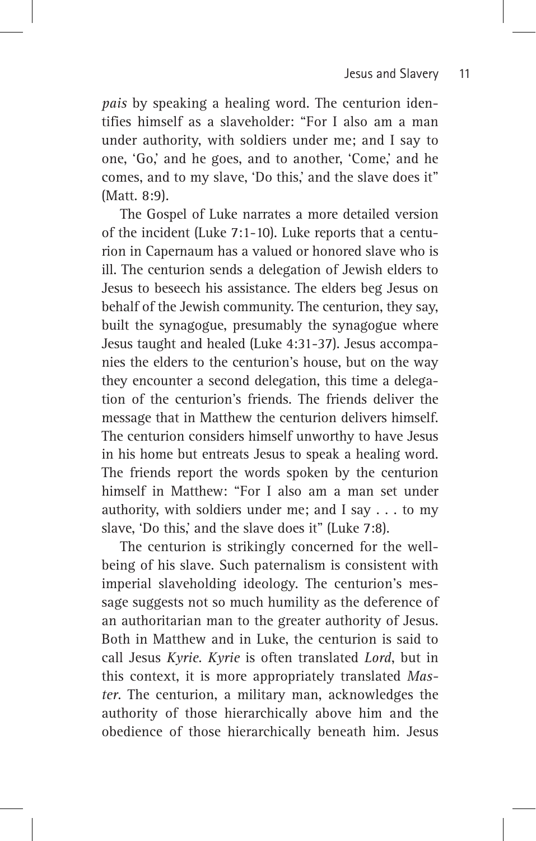*pais* by speaking a healing word. The centurion identifies himself as a slaveholder: "For I also am a man under authority, with soldiers under me; and I say to one, 'Go,' and he goes, and to another, 'Come,' and he comes, and to my slave, 'Do this,' and the slave does it" (Matt. 8:9).

The Gospel of Luke narrates a more detailed version of the incident (Luke 7:1-10). Luke reports that a centurion in Capernaum has a valued or honored slave who is ill. The centurion sends a delegation of Jewish elders to Jesus to beseech his assistance. The elders beg Jesus on behalf of the Jewish community. The centurion, they say, built the synagogue, presumably the synagogue where Jesus taught and healed (Luke 4:31-37). Jesus accompanies the elders to the centurion's house, but on the way they encounter a second delegation, this time a delegation of the centurion's friends. The friends deliver the message that in Matthew the centurion delivers himself. The centurion considers himself unworthy to have Jesus in his home but entreats Jesus to speak a healing word. The friends report the words spoken by the centurion himself in Matthew: "For I also am a man set under authority, with soldiers under me; and I say  $\dots$  to my slave, 'Do this,' and the slave does it" (Luke 7:8).

The centurion is strikingly concerned for the wellbeing of his slave. Such paternalism is consistent with imperial slaveholding ideology. The centurion's message suggests not so much humility as the deference of an authoritarian man to the greater authority of Jesus. Both in Matthew and in Luke, the centurion is said to call Jesus *Kyrie*. *Kyrie* is often translated *Lord*, but in this context, it is more appropriately translated *Master*. The centurion, a military man, acknowledges the authority of those hierarchically above him and the obedience of those hierarchically beneath him. Jesus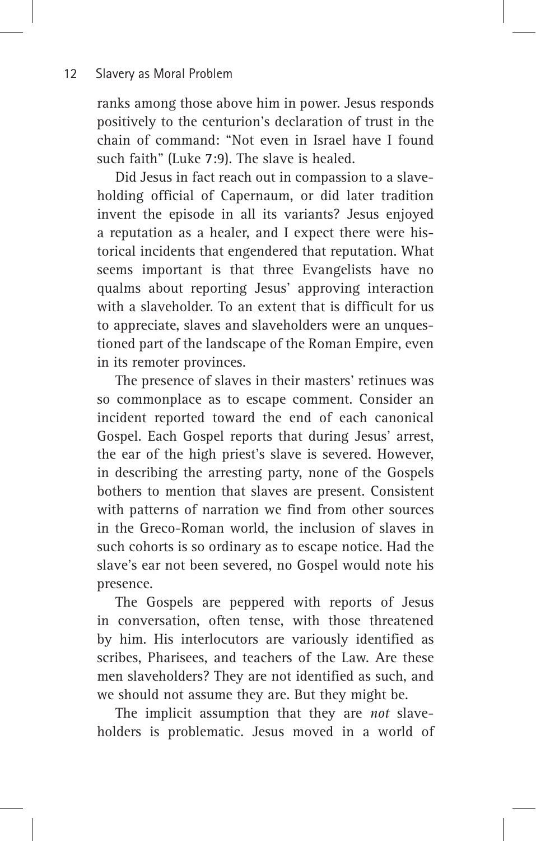ranks among those above him in power. Jesus responds positively to the centurion's declaration of trust in the chain of command: "Not even in Israel have I found such faith" (Luke 7:9). The slave is healed.

Did Jesus in fact reach out in compassion to a slaveholding official of Capernaum, or did later tradition invent the episode in all its variants? Jesus enjoyed a reputation as a healer, and I expect there were historical incidents that engendered that reputation. What seems important is that three Evangelists have no qualms about reporting Jesus' approving interaction with a slaveholder. To an extent that is difficult for us to appreciate, slaves and slaveholders were an unquestioned part of the landscape of the Roman Empire, even in its remoter provinces.

The presence of slaves in their masters' retinues was so commonplace as to escape comment. Consider an incident reported toward the end of each canonical Gospel. Each Gospel reports that during Jesus' arrest, the ear of the high priest's slave is severed. However, in describing the arresting party, none of the Gospels bothers to mention that slaves are present. Consistent with patterns of narration we find from other sources in the Greco-Roman world, the inclusion of slaves in such cohorts is so ordinary as to escape notice. Had the slave's ear not been severed, no Gospel would note his presence.

The Gospels are peppered with reports of Jesus in conversation, often tense, with those threatened by him. His interlocutors are variously identified as scribes, Pharisees, and teachers of the Law. Are these men slaveholders? They are not identified as such, and we should not assume they are. But they might be.

The implicit assumption that they are *not* slaveholders is problematic. Jesus moved in a world of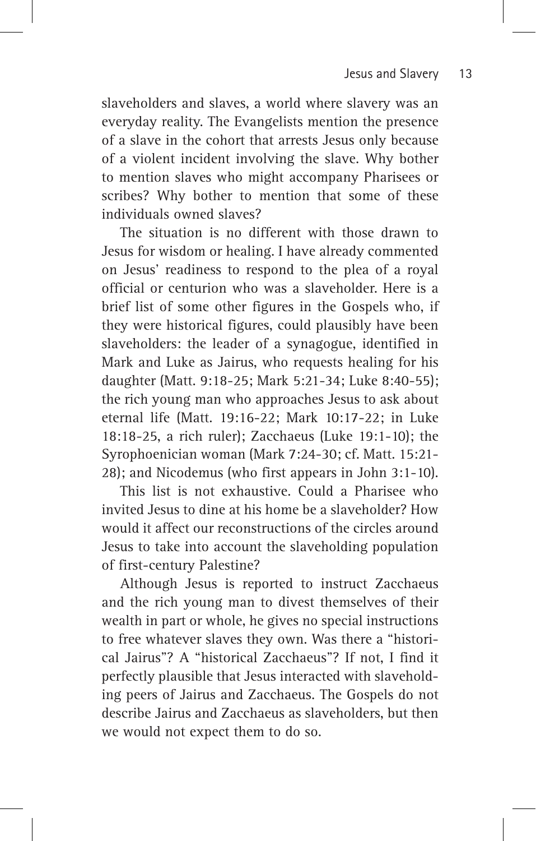slaveholders and slaves, a world where slavery was an everyday reality. The Evangelists mention the presence of a slave in the cohort that arrests Jesus only because of a violent incident involving the slave. Why bother to mention slaves who might accompany Pharisees or scribes? Why bother to mention that some of these individuals owned slaves?

The situation is no different with those drawn to Jesus for wisdom or healing. I have already commented on Jesus' readiness to respond to the plea of a royal official or centurion who was a slaveholder. Here is a brief list of some other figures in the Gospels who, if they were historical figures, could plausibly have been slaveholders: the leader of a synagogue, identified in Mark and Luke as Jairus, who requests healing for his daughter (Matt. 9:18-25; Mark 5:21-34; Luke 8:40-55); the rich young man who approaches Jesus to ask about eternal life (Matt. 19:16-22; Mark 10:17-22; in Luke 18:18-25, a rich ruler); Zacchaeus (Luke 19:1-10); the Syrophoenician woman (Mark 7:24-30; cf. Matt. 15:21- 28); and Nicodemus (who first appears in John 3:1-10).

This list is not exhaustive. Could a Pharisee who invited Jesus to dine at his home be a slaveholder? How would it affect our reconstructions of the circles around Jesus to take into account the slaveholding population of first-century Palestine?

Although Jesus is reported to instruct Zacchaeus and the rich young man to divest themselves of their wealth in part or whole, he gives no special instructions to free whatever slaves they own. Was there a "historical Jairus"? A "historical Zacchaeus"? If not, I find it perfectly plausible that Jesus interacted with slaveholding peers of Jairus and Zacchaeus. The Gospels do not describe Jairus and Zacchaeus as slaveholders, but then we would not expect them to do so.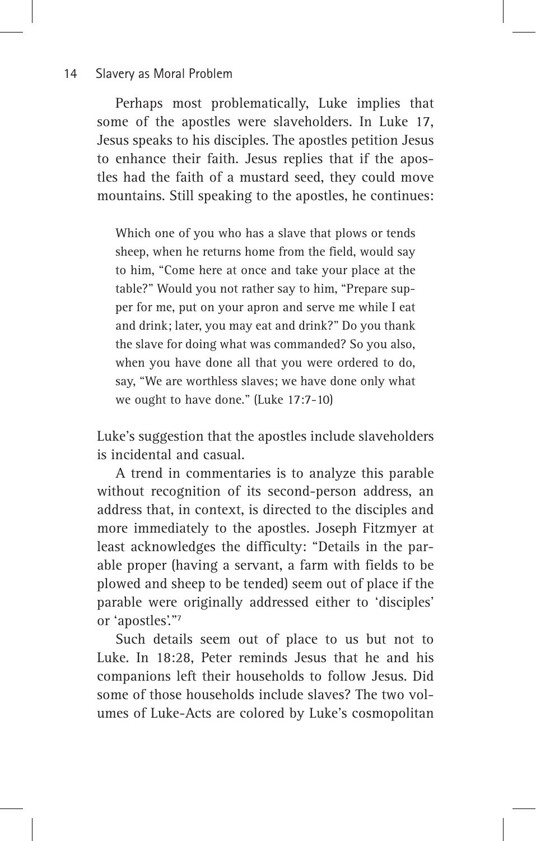#### 14 Slavery as Moral Problem

Perhaps most problematically, Luke implies that some of the apostles were slaveholders. In Luke 17, Jesus speaks to his disciples. The apostles petition Jesus to enhance their faith. Jesus replies that if the apostles had the faith of a mustard seed, they could move mountains. Still speaking to the apostles, he continues:

Which one of you who has a slave that plows or tends sheep, when he returns home from the field, would say to him, "Come here at once and take your place at the table?" Would you not rather say to him, "Prepare supper for me, put on your apron and serve me while I eat and drink; later, you may eat and drink?" Do you thank the slave for doing what was commanded? So you also, when you have done all that you were ordered to do, say, "We are worthless slaves; we have done only what we ought to have done." (Luke 17:7-10)

Luke's suggestion that the apostles include slaveholders is incidental and casual.

A trend in commentaries is to analyze this parable without recognition of its second-person address, an address that, in context, is directed to the disciples and more immediately to the apostles. Joseph Fitzmyer at least acknowledges the difficulty: "Details in the parable proper (having a servant, a farm with fields to be plowed and sheep to be tended) seem out of place if the parable were originally addressed either to 'disciples' or 'apostles'."7

Such details seem out of place to us but not to Luke. In 18:28, Peter reminds Jesus that he and his companions left their households to follow Jesus. Did some of those households include slaves? The two volumes of Luke-Acts are colored by Luke's cosmopolitan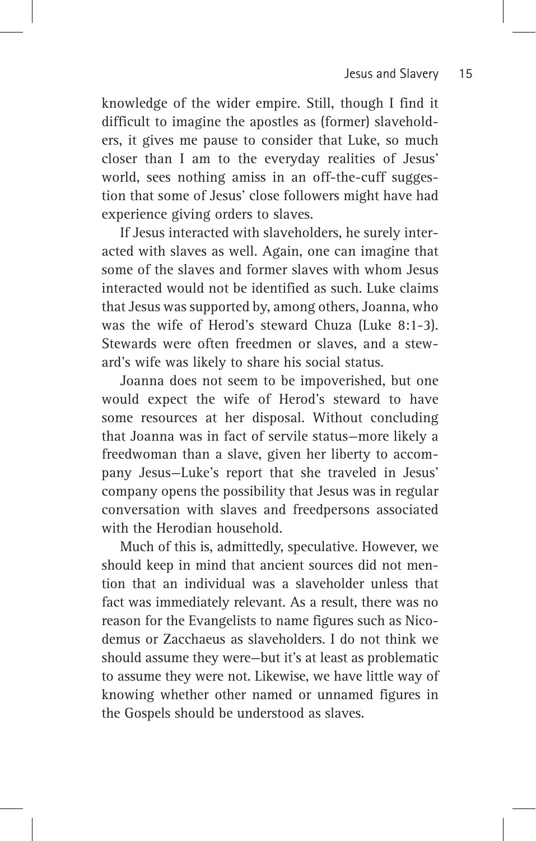knowledge of the wider empire. Still, though I find it difficult to imagine the apostles as (former) slaveholders, it gives me pause to consider that Luke, so much closer than I am to the everyday realities of Jesus' world, sees nothing amiss in an off-the-cuff suggestion that some of Jesus' close followers might have had experience giving orders to slaves.

If Jesus interacted with slaveholders, he surely interacted with slaves as well. Again, one can imagine that some of the slaves and former slaves with whom Jesus interacted would not be identified as such. Luke claims that Jesus was supported by, among others, Joanna, who was the wife of Herod's steward Chuza (Luke 8:1-3). Stewards were often freedmen or slaves, and a steward's wife was likely to share his social status.

Joanna does not seem to be impoverished, but one would expect the wife of Herod's steward to have some resources at her disposal. Without concluding that Joanna was in fact of servile status—more likely a freedwoman than a slave, given her liberty to accompany Jesus—Luke's report that she traveled in Jesus' company opens the possibility that Jesus was in regular conversation with slaves and freedpersons associated with the Herodian household.

Much of this is, admittedly, speculative. However, we should keep in mind that ancient sources did not mention that an individual was a slaveholder unless that fact was immediately relevant. As a result, there was no reason for the Evangelists to name figures such as Nicodemus or Zacchaeus as slaveholders. I do not think we should assume they were—but it's at least as problematic to assume they were not. Likewise, we have little way of knowing whether other named or unnamed figures in the Gospels should be understood as slaves.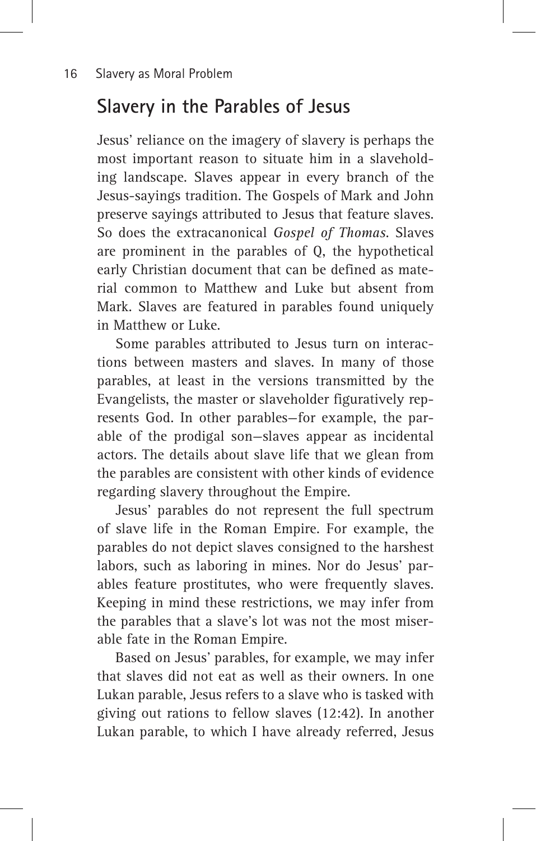## **Slavery in the Parables of Jesus**

Jesus' reliance on the imagery of slavery is perhaps the most important reason to situate him in a slaveholding landscape. Slaves appear in every branch of the Jesus-sayings tradition. The Gospels of Mark and John preserve sayings attributed to Jesus that feature slaves. So does the extracanonical *Gospel of Thomas*. Slaves are prominent in the parables of Q, the hypothetical early Christian document that can be defined as material common to Matthew and Luke but absent from Mark. Slaves are featured in parables found uniquely in Matthew or Luke.

Some parables attributed to Jesus turn on interactions between masters and slaves. In many of those parables, at least in the versions transmitted by the Evangelists, the master or slaveholder figuratively represents God. In other parables—for example, the parable of the prodigal son—slaves appear as incidental actors. The details about slave life that we glean from the parables are consistent with other kinds of evidence regarding slavery throughout the Empire.

Jesus' parables do not represent the full spectrum of slave life in the Roman Empire. For example, the parables do not depict slaves consigned to the harshest labors, such as laboring in mines. Nor do Jesus' parables feature prostitutes, who were frequently slaves. Keeping in mind these restrictions, we may infer from the parables that a slave's lot was not the most miserable fate in the Roman Empire.

Based on Jesus' parables, for example, we may infer that slaves did not eat as well as their owners. In one Lukan parable, Jesus refers to a slave who is tasked with giving out rations to fellow slaves (12:42). In another Lukan parable, to which I have already referred, Jesus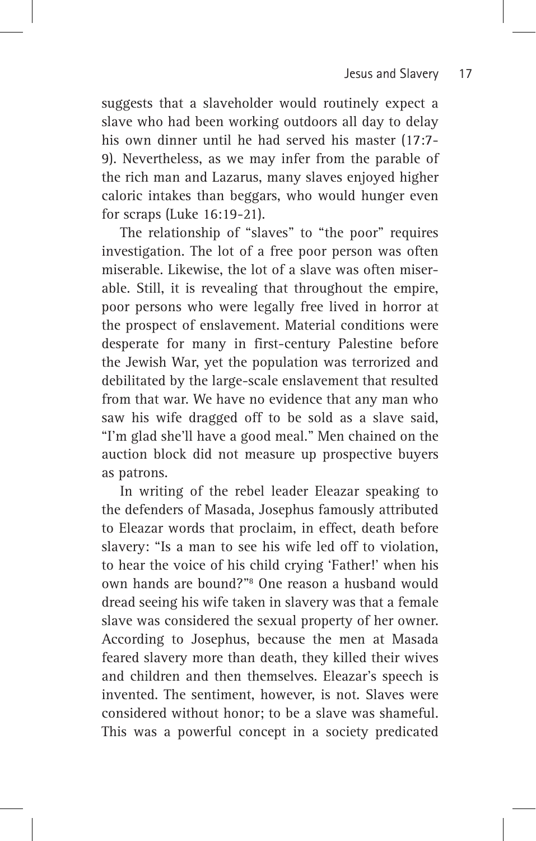suggests that a slaveholder would routinely expect a slave who had been working outdoors all day to delay his own dinner until he had served his master (17:7- 9). Nevertheless, as we may infer from the parable of the rich man and Lazarus, many slaves enjoyed higher caloric intakes than beggars, who would hunger even for scraps (Luke 16:19-21).

The relationship of "slaves" to "the poor" requires investigation. The lot of a free poor person was often miserable. Likewise, the lot of a slave was often miserable. Still, it is revealing that throughout the empire, poor persons who were legally free lived in horror at the prospect of enslavement. Material conditions were desperate for many in first-century Palestine before the Jewish War, yet the population was terrorized and debilitated by the large-scale enslavement that resulted from that war. We have no evidence that any man who saw his wife dragged off to be sold as a slave said, "I'm glad she'll have a good meal." Men chained on the auction block did not measure up prospective buyers as patrons.

In writing of the rebel leader Eleazar speaking to the defenders of Masada, Josephus famously attributed to Eleazar words that proclaim, in effect, death before slavery: "Is a man to see his wife led off to violation, to hear the voice of his child crying 'Father!' when his own hands are bound?"8 One reason a husband would dread seeing his wife taken in slavery was that a female slave was considered the sexual property of her owner. According to Josephus, because the men at Masada feared slavery more than death, they killed their wives and children and then themselves. Eleazar's speech is invented. The sentiment, however, is not. Slaves were considered without honor; to be a slave was shameful. This was a powerful concept in a society predicated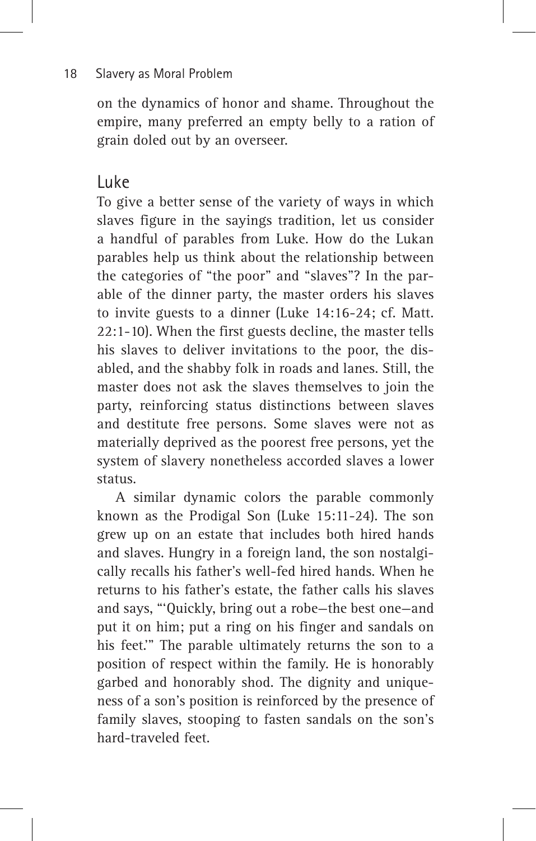on the dynamics of honor and shame. Throughout the empire, many preferred an empty belly to a ration of grain doled out by an overseer.

#### Luke

To give a better sense of the variety of ways in which slaves figure in the sayings tradition, let us consider a handful of parables from Luke. How do the Lukan parables help us think about the relationship between the categories of "the poor" and "slaves"? In the parable of the dinner party, the master orders his slaves to invite guests to a dinner (Luke 14:16-24; cf. Matt. 22:1-10). When the first guests decline, the master tells his slaves to deliver invitations to the poor, the disabled, and the shabby folk in roads and lanes. Still, the master does not ask the slaves themselves to join the party, reinforcing status distinctions between slaves and destitute free persons. Some slaves were not as materially deprived as the poorest free persons, yet the system of slavery nonetheless accorded slaves a lower status.

A similar dynamic colors the parable commonly known as the Prodigal Son (Luke 15:11-24). The son grew up on an estate that includes both hired hands and slaves. Hungry in a foreign land, the son nostalgically recalls his father's well-fed hired hands. When he returns to his father's estate, the father calls his slaves and says, "'Quickly, bring out a robe—the best one—and put it on him; put a ring on his finger and sandals on his feet.'" The parable ultimately returns the son to a position of respect within the family. He is honorably garbed and honorably shod. The dignity and uniqueness of a son's position is reinforced by the presence of family slaves, stooping to fasten sandals on the son's hard-traveled feet.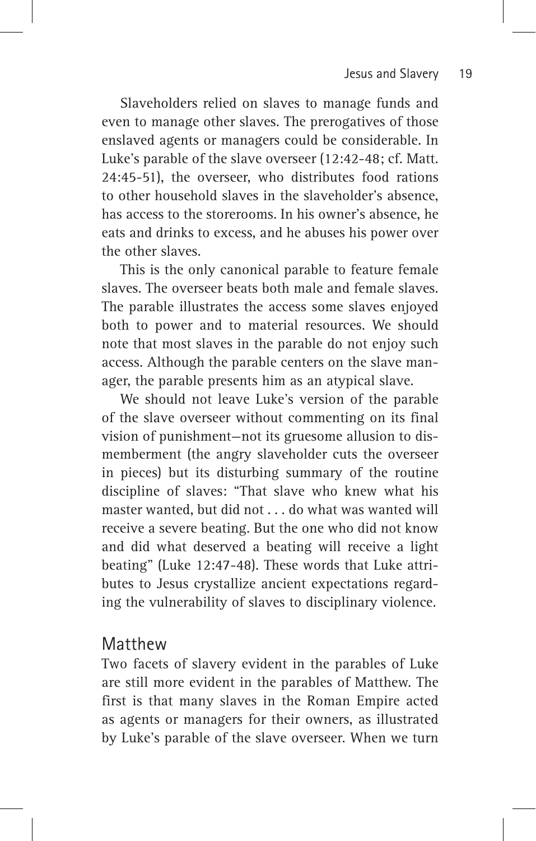Slaveholders relied on slaves to manage funds and even to manage other slaves. The prerogatives of those enslaved agents or managers could be considerable. In Luke's parable of the slave overseer (12:42-48; cf. Matt. 24:45-51), the overseer, who distributes food rations to other household slaves in the slaveholder's absence, has access to the storerooms. In his owner's absence, he eats and drinks to excess, and he abuses his power over the other slaves.

This is the only canonical parable to feature female slaves. The overseer beats both male and female slaves. The parable illustrates the access some slaves enjoyed both to power and to material resources. We should note that most slaves in the parable do not enjoy such access. Although the parable centers on the slave manager, the parable presents him as an atypical slave.

We should not leave Luke's version of the parable of the slave overseer without commenting on its final vision of punishment—not its gruesome allusion to dismemberment (the angry slaveholder cuts the overseer in pieces) but its disturbing summary of the routine discipline of slaves: "That slave who knew what his master wanted, but did not . . . do what was wanted will receive a severe beating. But the one who did not know and did what deserved a beating will receive a light beating" (Luke 12:47-48). These words that Luke attributes to Jesus crystallize ancient expectations regarding the vulnerability of slaves to disciplinary violence.

#### Matthew

Two facets of slavery evident in the parables of Luke are still more evident in the parables of Matthew. The first is that many slaves in the Roman Empire acted as agents or managers for their owners, as illustrated by Luke's parable of the slave overseer. When we turn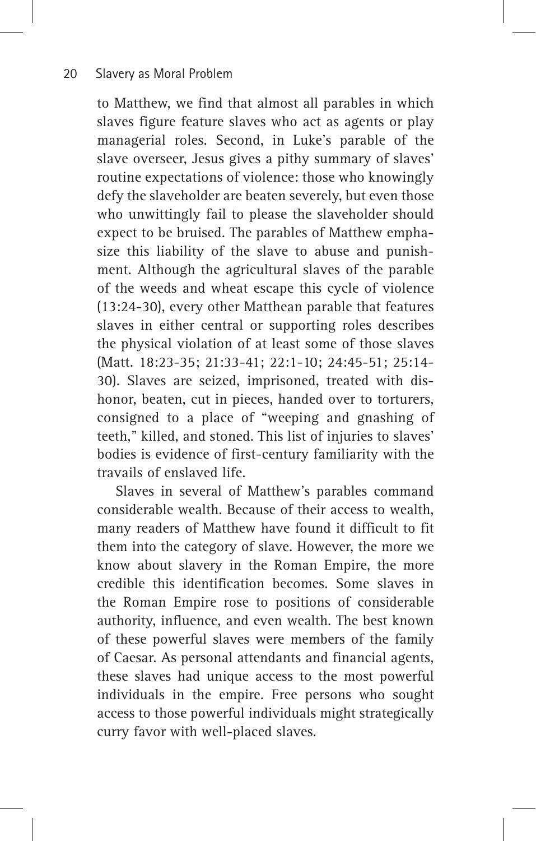to Matthew, we find that almost all parables in which slaves figure feature slaves who act as agents or play managerial roles. Second, in Luke's parable of the slave overseer, Jesus gives a pithy summary of slaves' routine expectations of violence: those who knowingly defy the slaveholder are beaten severely, but even those who unwittingly fail to please the slaveholder should expect to be bruised. The parables of Matthew emphasize this liability of the slave to abuse and punishment. Although the agricultural slaves of the parable of the weeds and wheat escape this cycle of violence (13:24-30), every other Matthean parable that features slaves in either central or supporting roles describes the physical violation of at least some of those slaves (Matt. 18:23-35; 21:33-41; 22:1-10; 24:45-51; 25:14- 30). Slaves are seized, imprisoned, treated with dishonor, beaten, cut in pieces, handed over to torturers, consigned to a place of "weeping and gnashing of teeth," killed, and stoned. This list of injuries to slaves' bodies is evidence of first-century familiarity with the travails of enslaved life.

Slaves in several of Matthew's parables command considerable wealth. Because of their access to wealth, many readers of Matthew have found it difficult to fit them into the category of slave. However, the more we know about slavery in the Roman Empire, the more credible this identification becomes. Some slaves in the Roman Empire rose to positions of considerable authority, influence, and even wealth. The best known of these powerful slaves were members of the family of Caesar. As personal attendants and financial agents, these slaves had unique access to the most powerful individuals in the empire. Free persons who sought access to those powerful individuals might strategically curry favor with well-placed slaves.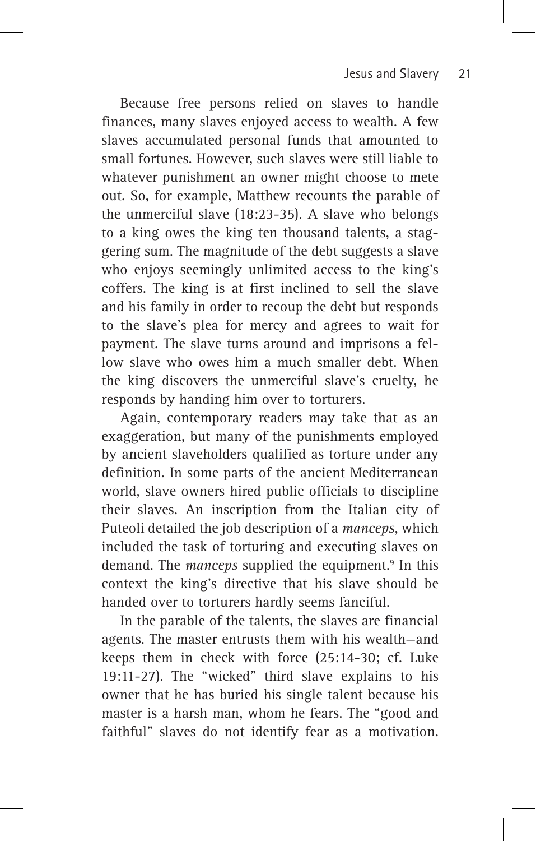Because free persons relied on slaves to handle finances, many slaves enjoyed access to wealth. A few slaves accumulated personal funds that amounted to small fortunes. However, such slaves were still liable to whatever punishment an owner might choose to mete out. So, for example, Matthew recounts the parable of the unmerciful slave (18:23-35). A slave who belongs to a king owes the king ten thousand talents, a staggering sum. The magnitude of the debt suggests a slave who enjoys seemingly unlimited access to the king's coffers. The king is at first inclined to sell the slave and his family in order to recoup the debt but responds to the slave's plea for mercy and agrees to wait for payment. The slave turns around and imprisons a fellow slave who owes him a much smaller debt. When the king discovers the unmerciful slave's cruelty, he responds by handing him over to torturers.

Again, contemporary readers may take that as an exaggeration, but many of the punishments employed by ancient slaveholders qualified as torture under any definition. In some parts of the ancient Mediterranean world, slave owners hired public officials to discipline their slaves. An inscription from the Italian city of Puteoli detailed the job description of a *manceps*, which included the task of torturing and executing slaves on demand. The *manceps* supplied the equipment.<sup>9</sup> In this context the king's directive that his slave should be handed over to torturers hardly seems fanciful.

In the parable of the talents, the slaves are financial agents. The master entrusts them with his wealth—and keeps them in check with force (25:14-30; cf. Luke 19:11-27). The "wicked" third slave explains to his owner that he has buried his single talent because his master is a harsh man, whom he fears. The "good and faithful" slaves do not identify fear as a motivation.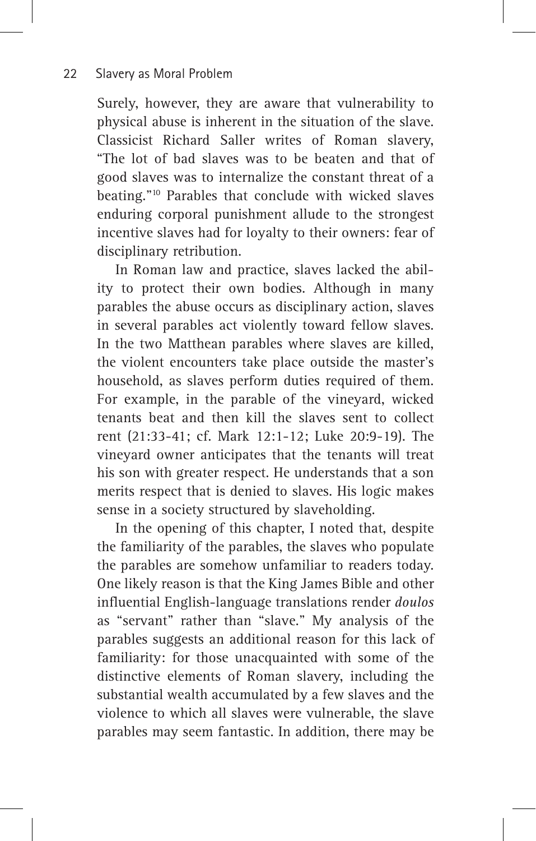Surely, however, they are aware that vulnerability to physical abuse is inherent in the situation of the slave. Classicist Richard Saller writes of Roman slavery, "The lot of bad slaves was to be beaten and that of good slaves was to internalize the constant threat of a beating."10 Parables that conclude with wicked slaves enduring corporal punishment allude to the strongest incentive slaves had for loyalty to their owners: fear of disciplinary retribution.

In Roman law and practice, slaves lacked the ability to protect their own bodies. Although in many parables the abuse occurs as disciplinary action, slaves in several parables act violently toward fellow slaves. In the two Matthean parables where slaves are killed, the violent encounters take place outside the master's household, as slaves perform duties required of them. For example, in the parable of the vineyard, wicked tenants beat and then kill the slaves sent to collect rent (21:33-41; cf. Mark 12:1-12; Luke 20:9-19). The vineyard owner anticipates that the tenants will treat his son with greater respect. He understands that a son merits respect that is denied to slaves. His logic makes sense in a society structured by slaveholding.

In the opening of this chapter, I noted that, despite the familiarity of the parables, the slaves who populate the parables are somehow unfamiliar to readers today. One likely reason is that the King James Bible and other influential English-language translations render *doulos* as "servant" rather than "slave." My analysis of the parables suggests an additional reason for this lack of familiarity: for those unacquainted with some of the distinctive elements of Roman slavery, including the substantial wealth accumulated by a few slaves and the violence to which all slaves were vulnerable, the slave parables may seem fantastic. In addition, there may be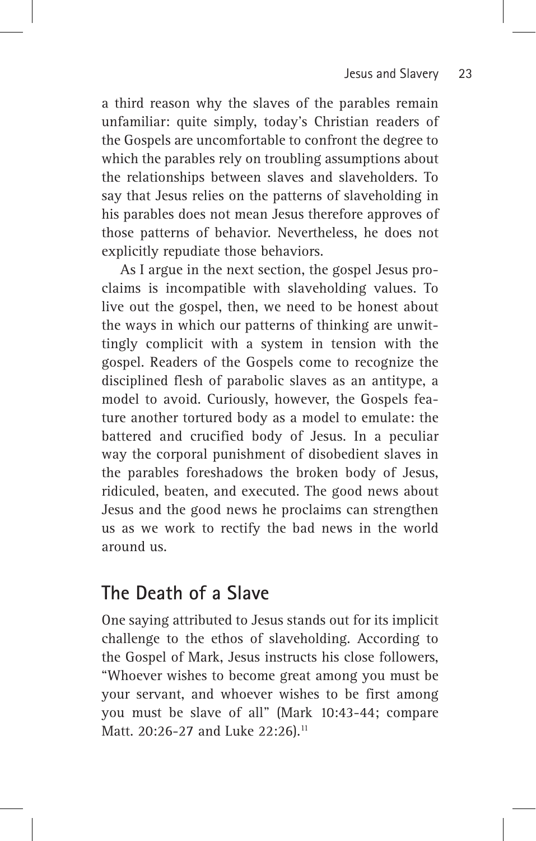a third reason why the slaves of the parables remain unfamiliar: quite simply, today's Christian readers of the Gospels are uncomfortable to confront the degree to which the parables rely on troubling assumptions about the relationships between slaves and slaveholders. To say that Jesus relies on the patterns of slaveholding in his parables does not mean Jesus therefore approves of those patterns of behavior. Nevertheless, he does not explicitly repudiate those behaviors.

As I argue in the next section, the gospel Jesus proclaims is incompatible with slaveholding values. To live out the gospel, then, we need to be honest about the ways in which our patterns of thinking are unwittingly complicit with a system in tension with the gospel. Readers of the Gospels come to recognize the disciplined flesh of parabolic slaves as an antitype, a model to avoid. Curiously, however, the Gospels feature another tortured body as a model to emulate: the battered and crucified body of Jesus. In a peculiar way the corporal punishment of disobedient slaves in the parables foreshadows the broken body of Jesus, ridiculed, beaten, and executed. The good news about Jesus and the good news he proclaims can strengthen us as we work to rectify the bad news in the world around us.

#### **The Death of a Slave**

One saying attributed to Jesus stands out for its implicit challenge to the ethos of slaveholding. According to the Gospel of Mark, Jesus instructs his close followers, "Whoever wishes to become great among you must be your servant, and whoever wishes to be first among you must be slave of all" (Mark 10:43-44; compare Matt. 20:26-27 and Luke 22:26).<sup>11</sup>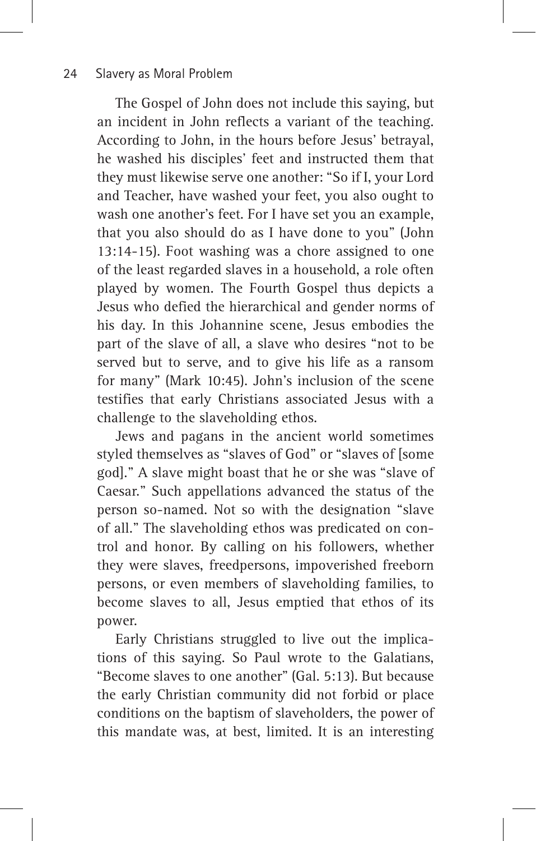The Gospel of John does not include this saying, but an incident in John reflects a variant of the teaching. According to John, in the hours before Jesus' betrayal, he washed his disciples' feet and instructed them that they must likewise serve one another: "So if I, your Lord and Teacher, have washed your feet, you also ought to wash one another's feet. For I have set you an example, that you also should do as I have done to you" (John 13:14-15). Foot washing was a chore assigned to one of the least regarded slaves in a household, a role often played by women. The Fourth Gospel thus depicts a Jesus who defied the hierarchical and gender norms of his day. In this Johannine scene, Jesus embodies the part of the slave of all, a slave who desires "not to be served but to serve, and to give his life as a ransom for many" (Mark 10:45). John's inclusion of the scene testifies that early Christians associated Jesus with a challenge to the slaveholding ethos.

Jews and pagans in the ancient world sometimes styled themselves as "slaves of God" or "slaves of [some god]." A slave might boast that he or she was "slave of Caesar." Such appellations advanced the status of the person so-named. Not so with the designation "slave of all." The slaveholding ethos was predicated on control and honor. By calling on his followers, whether they were slaves, freedpersons, impoverished freeborn persons, or even members of slaveholding families, to become slaves to all, Jesus emptied that ethos of its power.

Early Christians struggled to live out the implications of this saying. So Paul wrote to the Galatians, "Become slaves to one another" (Gal. 5:13). But because the early Christian community did not forbid or place conditions on the baptism of slaveholders, the power of this mandate was, at best, limited. It is an interesting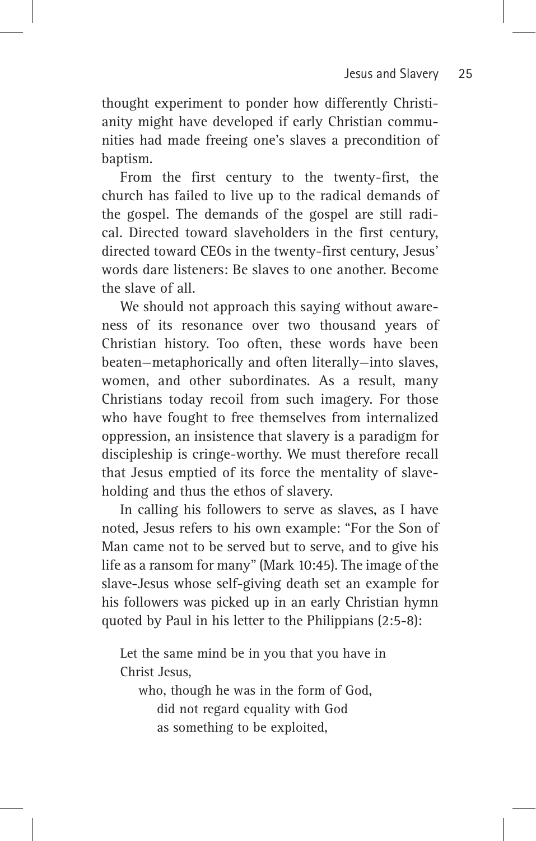thought experiment to ponder how differently Christianity might have developed if early Christian communities had made freeing one's slaves a precondition of baptism.

From the first century to the twenty-first, the church has failed to live up to the radical demands of the gospel. The demands of the gospel are still radical. Directed toward slaveholders in the first century, directed toward CEOs in the twenty-first century, Jesus' words dare listeners: Be slaves to one another. Become the slave of all.

We should not approach this saying without awareness of its resonance over two thousand years of Christian history. Too often, these words have been beaten—metaphorically and often literally—into slaves, women, and other subordinates. As a result, many Christians today recoil from such imagery. For those who have fought to free themselves from internalized oppression, an insistence that slavery is a paradigm for discipleship is cringe-worthy. We must therefore recall that Jesus emptied of its force the mentality of slaveholding and thus the ethos of slavery.

In calling his followers to serve as slaves, as I have noted, Jesus refers to his own example: "For the Son of Man came not to be served but to serve, and to give his life as a ransom for many" (Mark 10:45). The image of the slave-Jesus whose self-giving death set an example for his followers was picked up in an early Christian hymn quoted by Paul in his letter to the Philippians (2:5-8):

Let the same mind be in you that you have in Christ Jesus,

who, though he was in the form of God, did not regard equality with God as something to be exploited,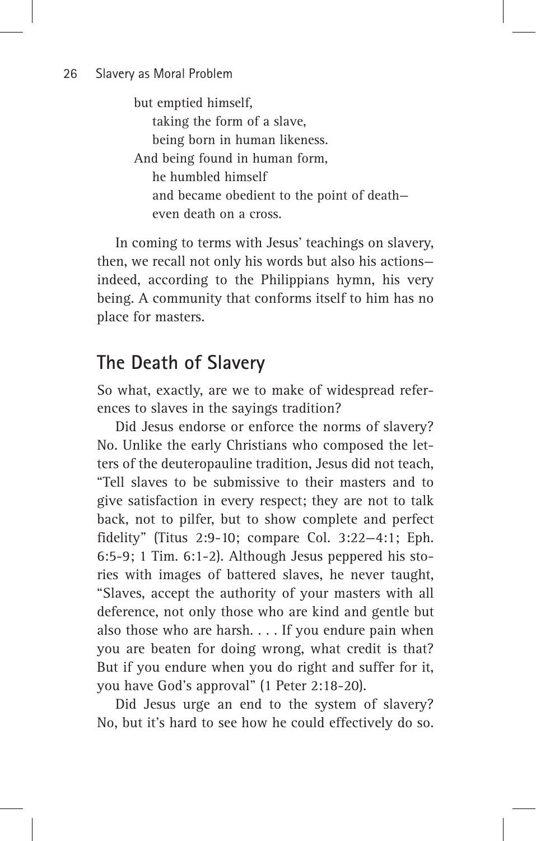but emptied himself, taking the form of a slave, being born in human likeness. And being found in human form, he humbled himself and became obedient to the point of death even death on a cross.

In coming to terms with Jesus' teachings on slavery, then, we recall not only his words but also his actions indeed, according to the Philippians hymn, his very being. A community that conforms itself to him has no place for masters.

## **The Death of Slavery**

So what, exactly, are we to make of widespread references to slaves in the sayings tradition?

Did Jesus endorse or enforce the norms of slavery? No. Unlike the early Christians who composed the letters of the deuteropauline tradition, Jesus did not teach, "Tell slaves to be submissive to their masters and to give satisfaction in every respect; they are not to talk back, not to pilfer, but to show complete and perfect fidelity" (Titus 2:9-10; compare Col. 3:22—4:1; Eph. 6:5-9; 1 Tim. 6:1-2). Although Jesus peppered his stories with images of battered slaves, he never taught, "Slaves, accept the authority of your masters with all deference, not only those who are kind and gentle but also those who are harsh. . . . If you endure pain when you are beaten for doing wrong, what credit is that? But if you endure when you do right and suffer for it, you have God's approval" (1 Peter 2:18-20).

Did Jesus urge an end to the system of slavery? No, but it's hard to see how he could effectively do so.